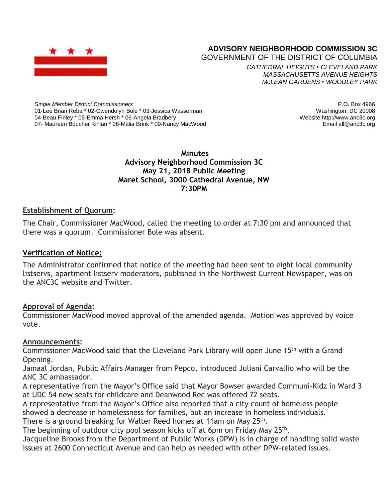

# **ADVISORY NEIGHBORHOOD COMMISSION 3C**

GOVERNMENT OF THE DISTRICT OF COLUMBIA

*CATHEDRAL HEIGHTS* • *CLEVELAND PARK MASSACHUSETTS AVENUE HEIGHTS McLEAN GARDENS* • *WOODLEY PARK*

*Single Member District Commissioners* 01-Lee Brian Reba \* 02-Gwendolyn Bole \* 03-Jessica Wasserman 04-Beau Finley \* 05-Emma Hersh \* 06-Angela Bradbery 07- Maureen Boucher Kinlan \* 08-Malia Brink \* 09-Nancy MacWood

P.O. Box 4966 Washington, DC 20008 Website http://www.anc3c.org Email all@anc3c.org

#### **Minutes Advisory Neighborhood Commission 3C May 21, 2018 Public Meeting Maret School, 3000 Cathedral Avenue, NW 7:30PM**

#### **Establishment of Quorum:**

The Chair, Commissioner MacWood, called the meeting to order at 7:30 pm and announced that there was a quorum. Commissioner Bole was absent.

#### **Verification of Notice:**

The Administrator confirmed that notice of the meeting had been sent to eight local community listservs, apartment listserv moderators, published in the Northwest Current Newspaper, was on the ANC3C website and Twitter.

#### **Approval of Agenda:**

Commissioner MacWood moved approval of the amended agenda. Motion was approved by voice vote.

#### **Announcements:**

Commissioner MacWood said that the Cleveland Park Library will open June 15th with a Grand Opening.

Jamaal Jordan, Public Affairs Manager from Pepco, introduced Juliani Carvallio who will be the ANC 3C ambassador.

A representative from the Mayor's Office said that Mayor Bowser awarded Communi-Kidz in Ward 3 at UDC 54 new seats for childcare and Deanwood Rec was offered 72 seats.

A representative from the Mayor's Office also reported that a city count of homeless people showed a decrease in homelessness for families, but an increase in homeless individuals.

There is a ground breaking for Walter Reed homes at 11am on May 25<sup>th</sup>.

The beginning of outdoor city pool season kicks off at 6pm on Friday May 25<sup>th</sup>.

Jacqueline Brooks from the Department of Public Works (DPW) is in charge of handling solid waste issues at 2600 Connecticut Avenue and can help as needed with other DPW-related issues.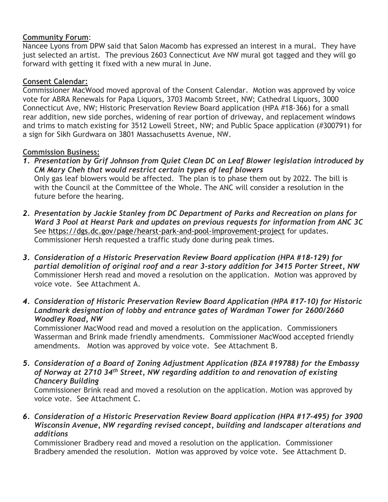### **Community Forum**:

Nancee Lyons from DPW said that Salon Macomb has expressed an interest in a mural. They have just selected an artist. The previous 2603 Connecticut Ave NW mural got tagged and they will go forward with getting it fixed with a new mural in June.

### **Consent Calendar:**

Commissioner MacWood moved approval of the Consent Calendar. Motion was approved by voice vote for ABRA Renewals for Papa Liquors, 3703 Macomb Street, NW; Cathedral Liquors, 3000 Connecticut Ave, NW; Historic Preservation Review Board application (HPA #18-366) for a small rear addition, new side porches, widening of rear portion of driveway, and replacement windows and trims to match existing for 3512 Lowell Street, NW; and Public Space application (#300791) for a sign for Sikh Gurdwara on 3801 Massachusetts Avenue, NW.

## **Commission Business:**

- *1. Presentation by Grif Johnson from Quiet Clean DC on Leaf Blower legislation introduced by CM Mary Cheh that would restrict certain types of leaf blowers* Only gas leaf blowers would be affected. The plan is to phase them out by 2022. The bill is with the Council at the Committee of the Whole. The ANC will consider a resolution in the future before the hearing.
- *2. Presentation by Jackie Stanley from DC Department of Parks and Recreation on plans for Ward 3 Pool at Hearst Park and updates on previous requests for information from ANC 3C* See <https://dgs.dc.gov/page/hearst-park-and-pool-improvement-project> for updates. Commissioner Hersh requested a traffic study done during peak times.
- *3. Consideration of a Historic Preservation Review Board application (HPA #18-129) for partial demolition of original roof and a rear 3-story addition for 3415 Porter Street, NW* Commissioner Hersh read and moved a resolution on the application. Motion was approved by voice vote. See Attachment A.
- *4. Consideration of Historic Preservation Review Board Application (HPA #17-10) for Historic Landmark designation of lobby and entrance gates of Wardman Tower for 2600/2660 Woodley Road, NW*

Commissioner MacWood read and moved a resolution on the application. Commissioners Wasserman and Brink made friendly amendments. Commissioner MacWood accepted friendly amendments. Motion was approved by voice vote. See Attachment B.

*5. Consideration of a Board of Zoning Adjustment Application (BZA #19788) for the Embassy of Norway at 2710 34th Street, NW regarding addition to and renovation of existing Chancery Building*

Commissioner Brink read and moved a resolution on the application. Motion was approved by voice vote. See Attachment C.

*6. Consideration of a Historic Preservation Review Board application (HPA #17-495) for 3900 Wisconsin Avenue, NW regarding revised concept, building and landscaper alterations and additions*

Commissioner Bradbery read and moved a resolution on the application. Commissioner Bradbery amended the resolution. Motion was approved by voice vote. See Attachment D.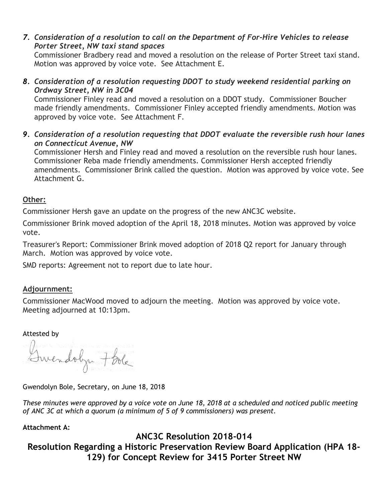*7. Consideration of a resolution to call on the Department of For-Hire Vehicles to release Porter Street, NW taxi stand spaces*

Commissioner Bradbery read and moved a resolution on the release of Porter Street taxi stand. Motion was approved by voice vote. See Attachment E.

*8. Consideration of a resolution requesting DDOT to study weekend residential parking on Ordway Street, NW in 3C04*

Commissioner Finley read and moved a resolution on a DDOT study. Commissioner Boucher made friendly amendments. Commissioner Finley accepted friendly amendments. Motion was approved by voice vote. See Attachment F.

*9. Consideration of a resolution requesting that DDOT evaluate the reversible rush hour lanes on Connecticut Avenue, NW*

Commissioner Hersh and Finley read and moved a resolution on the reversible rush hour lanes. Commissioner Reba made friendly amendments. Commissioner Hersh accepted friendly amendments. Commissioner Brink called the question. Motion was approved by voice vote. See Attachment G.

## **Other:**

Commissioner Hersh gave an update on the progress of the new ANC3C website.

Commissioner Brink moved adoption of the April 18, 2018 minutes. Motion was approved by voice vote.

Treasurer's Report: Commissioner Brink moved adoption of 2018 Q2 report for January through March. Motion was approved by voice vote.

SMD reports: Agreement not to report due to late hour.

## **Adjournment:**

Commissioner MacWood moved to adjourn the meeting. Motion was approved by voice vote. Meeting adjourned at 10:13pm.

#### Attested by

mendolyn 7 bola

Gwendolyn Bole, Secretary, on June 18, 2018

These minutes were approved by a voice vote on June 18, 2018 at a scheduled and noticed public meeting *of ANC 3C at which a quorum (a minimum of 5 of 9 commissioners) was present.*

## **Attachment A:**

## **ANC3C Resolution 2018-014**

**Resolution Regarding a Historic Preservation Review Board Application (HPA 18- 129) for Concept Review for 3415 Porter Street NW**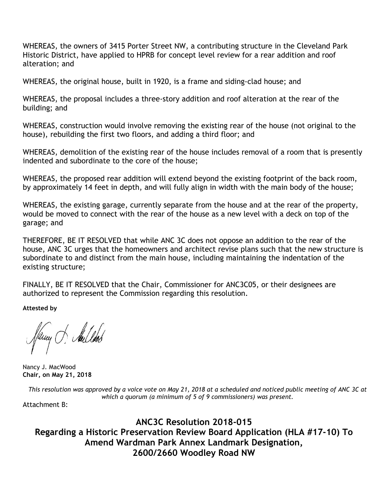WHEREAS, the owners of 3415 Porter Street NW, a contributing structure in the Cleveland Park Historic District, have applied to HPRB for concept level review for a rear addition and roof alteration; and

WHEREAS, the original house, built in 1920, is a frame and siding-clad house; and

WHEREAS, the proposal includes a three-story addition and roof alteration at the rear of the building; and

WHEREAS, construction would involve removing the existing rear of the house (not original to the house), rebuilding the first two floors, and adding a third floor; and

WHEREAS, demolition of the existing rear of the house includes removal of a room that is presently indented and subordinate to the core of the house;

WHEREAS, the proposed rear addition will extend beyond the existing footprint of the back room, by approximately 14 feet in depth, and will fully align in width with the main body of the house;

WHEREAS, the existing garage, currently separate from the house and at the rear of the property, would be moved to connect with the rear of the house as a new level with a deck on top of the garage; and

THEREFORE, BE IT RESOLVED that while ANC 3C does not oppose an addition to the rear of the house, ANC 3C urges that the homeowners and architect revise plans such that the new structure is subordinate to and distinct from the main house, including maintaining the indentation of the existing structure;

FINALLY, BE IT RESOLVED that the Chair, Commissioner for ANC3C05, or their designees are authorized to represent the Commission regarding this resolution.

**Attested by**

Thing of Aulled

Nancy J. MacWood **Chair, on May 21, 2018**

This resolution was approved by a voice vote on May 21, 2018 at a scheduled and noticed public meeting of ANC 3C at *which a quorum (a minimum of 5 of 9 commissioners) was present.*

Attachment B:

**ANC3C Resolution 2018-015 Regarding a Historic Preservation Review Board Application (HLA #17-10) To Amend Wardman Park Annex Landmark Designation, 2600/2660 Woodley Road NW**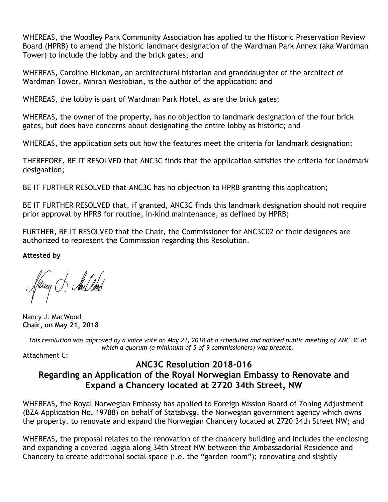WHEREAS, the Woodley Park Community Association has applied to the Historic Preservation Review Board (HPRB) to amend the historic landmark designation of the Wardman Park Annex (aka Wardman Tower) to include the lobby and the brick gates; and

WHEREAS, Caroline Hickman, an architectural historian and granddaughter of the architect of Wardman Tower, Mihran Mesrobian, is the author of the application; and

WHEREAS, the lobby is part of Wardman Park Hotel, as are the brick gates;

WHEREAS, the owner of the property, has no objection to landmark designation of the four brick gates, but does have concerns about designating the entire lobby as historic; and

WHEREAS, the application sets out how the features meet the criteria for landmark designation;

THEREFORE, BE IT RESOLVED that ANC3C finds that the application satisfies the criteria for landmark designation;

BE IT FURTHER RESOLVED that ANC3C has no objection to HPRB granting this application;

BE IT FURTHER RESOLVED that, if granted, ANC3C finds this landmark designation should not require prior approval by HPRB for routine, in-kind maintenance, as defined by HPRB;

FURTHER, BE IT RESOLVED that the Chair, the Commissioner for ANC3C02 or their designees are authorized to represent the Commission regarding this Resolution.

**Attested by**

Pany J. Aulleob

Nancy J. MacWood **Chair, on May 21, 2018**

This resolution was approved by a voice vote on May 21, 2018 at a scheduled and noticed public meeting of ANC 3C at *which a quorum (a minimum of 5 of 9 commissioners) was present.*

Attachment C:

## **ANC3C Resolution 2018-016 Regarding an Application of the Royal Norwegian Embassy to Renovate and Expand a Chancery located at 2720 34th Street, NW**

WHEREAS, the Royal Norwegian Embassy has applied to Foreign Mission Board of Zoning Adjustment (BZA Application No. 19788) on behalf of Statsbygg, the Norwegian government agency which owns the property, to renovate and expand the Norwegian Chancery located at 2720 34th Street NW; and

WHEREAS, the proposal relates to the renovation of the chancery building and includes the enclosing and expanding a covered loggia along 34th Street NW between the Ambassadorial Residence and Chancery to create additional social space (i.e. the "garden room"); renovating and slightly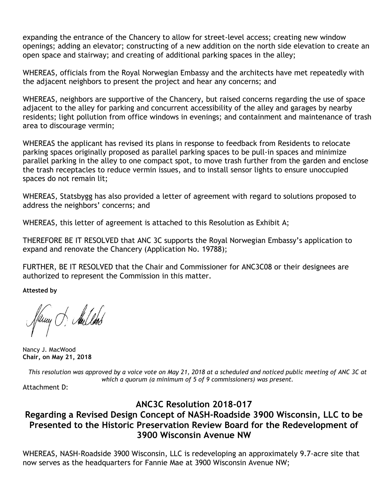expanding the entrance of the Chancery to allow for street-level access; creating new window openings; adding an elevator; constructing of a new addition on the north side elevation to create an open space and stairway; and creating of additional parking spaces in the alley;

WHEREAS, officials from the Royal Norwegian Embassy and the architects have met repeatedly with the adjacent neighbors to present the project and hear any concerns; and

WHEREAS, neighbors are supportive of the Chancery, but raised concerns regarding the use of space adjacent to the alley for parking and concurrent accessibility of the alley and garages by nearby residents; light pollution from office windows in evenings; and containment and maintenance of trash area to discourage vermin;

WHEREAS the applicant has revised its plans in response to feedback from Residents to relocate parking spaces originally proposed as parallel parking spaces to be pull-in spaces and minimize parallel parking in the alley to one compact spot, to move trash further from the garden and enclose the trash receptacles to reduce vermin issues, and to install sensor lights to ensure unoccupied spaces do not remain lit;

WHEREAS, Statsbygg has also provided a letter of agreement with regard to solutions proposed to address the neighbors' concerns; and

WHEREAS, this letter of agreement is attached to this Resolution as Exhibit A;

THEREFORE BE IT RESOLVED that ANC 3C supports the Royal Norwegian Embassy's application to expand and renovate the Chancery (Application No. 19788);

FURTHER, BE IT RESOLVED that the Chair and Commissioner for ANC3C08 or their designees are authorized to represent the Commission in this matter.

**Attested by**

Viewy J. Aullook

Nancy J. MacWood **Chair, on May 21, 2018**

This resolution was approved by a voice vote on May 21, 2018 at a scheduled and noticed public meeting of ANC 3C at *which a quorum (a minimum of 5 of 9 commissioners) was present.*

Attachment D:

## **ANC3C Resolution 2018-017**

## **Regarding a Revised Design Concept of NASH-Roadside 3900 Wisconsin, LLC to be Presented to the Historic Preservation Review Board for the Redevelopment of 3900 Wisconsin Avenue NW**

WHEREAS, NASH-Roadside 3900 Wisconsin, LLC is redeveloping an approximately 9.7-acre site that now serves as the headquarters for Fannie Mae at 3900 Wisconsin Avenue NW;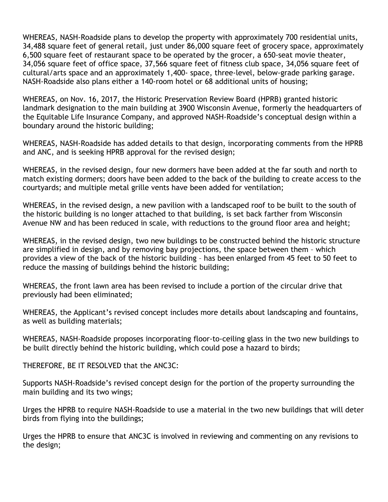WHEREAS, NASH-Roadside plans to develop the property with approximately 700 residential units, 34,488 square feet of general retail, just under 86,000 square feet of grocery space, approximately 6,500 square feet of restaurant space to be operated by the grocer, a 650-seat movie theater, 34,056 square feet of office space, 37,566 square feet of fitness club space, 34,056 square feet of cultural/arts space and an approximately 1,400- space, three-level, below-grade parking garage. NASH-Roadside also plans either a 140-room hotel or 68 additional units of housing;

WHEREAS, on Nov. 16, 2017, the Historic Preservation Review Board (HPRB) granted historic landmark designation to the main building at 3900 Wisconsin Avenue, formerly the headquarters of the Equitable Life Insurance Company, and approved NASH-Roadside's conceptual design within a boundary around the historic building;

WHEREAS, NASH-Roadside has added details to that design, incorporating comments from the HPRB and ANC, and is seeking HPRB approval for the revised design;

WHEREAS, in the revised design, four new dormers have been added at the far south and north to match existing dormers; doors have been added to the back of the building to create access to the courtyards; and multiple metal grille vents have been added for ventilation;

WHEREAS, in the revised design, a new pavilion with a landscaped roof to be built to the south of the historic building is no longer attached to that building, is set back farther from Wisconsin Avenue NW and has been reduced in scale, with reductions to the ground floor area and height;

WHEREAS, in the revised design, two new buildings to be constructed behind the historic structure are simplified in design, and by removing bay projections, the space between them – which provides a view of the back of the historic building – has been enlarged from 45 feet to 50 feet to reduce the massing of buildings behind the historic building;

WHEREAS, the front lawn area has been revised to include a portion of the circular drive that previously had been eliminated;

WHEREAS, the Applicant's revised concept includes more details about landscaping and fountains, as well as building materials;

WHEREAS, NASH-Roadside proposes incorporating floor-to-ceiling glass in the two new buildings to be built directly behind the historic building, which could pose a hazard to birds;

THEREFORE, BE IT RESOLVED that the ANC3C:

Supports NASH-Roadside's revised concept design for the portion of the property surrounding the main building and its two wings;

Urges the HPRB to require NASH-Roadside to use a material in the two new buildings that will deter birds from flying into the buildings;

Urges the HPRB to ensure that ANC3C is involved in reviewing and commenting on any revisions to the design;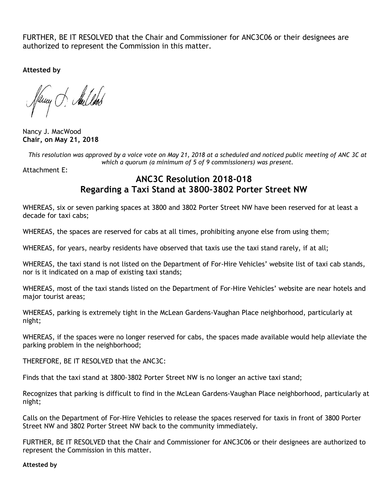FURTHER, BE IT RESOLVED that the Chair and Commissioner for ANC3C06 or their designees are authorized to represent the Commission in this matter.

**Attested by**

Tuny of Aullod

Nancy J. MacWood **Chair, on May 21, 2018**

This resolution was approved by a voice vote on May 21, 2018 at a scheduled and noticed public meeting of ANC 3C at *which a quorum (a minimum of 5 of 9 commissioners) was present.*

Attachment E:

## **ANC3C Resolution 2018-018 Regarding a Taxi Stand at 3800-3802 Porter Street NW**

WHEREAS, six or seven parking spaces at 3800 and 3802 Porter Street NW have been reserved for at least a decade for taxi cabs;

WHEREAS, the spaces are reserved for cabs at all times, prohibiting anyone else from using them;

WHEREAS, for years, nearby residents have observed that taxis use the taxi stand rarely, if at all;

WHEREAS, the taxi stand is not listed on the Department of For-Hire Vehicles' website list of taxi cab stands, nor is it indicated on a map of existing taxi stands;

WHEREAS, most of the taxi stands listed on the Department of For-Hire Vehicles' website are near hotels and major tourist areas;

WHEREAS, parking is extremely tight in the McLean Gardens-Vaughan Place neighborhood, particularly at night;

WHEREAS, if the spaces were no longer reserved for cabs, the spaces made available would help alleviate the parking problem in the neighborhood;

THEREFORE, BE IT RESOLVED that the ANC3C:

Finds that the taxi stand at 3800-3802 Porter Street NW is no longer an active taxi stand;

Recognizes that parking is difficult to find in the McLean Gardens-Vaughan Place neighborhood, particularly at night;

Calls on the Department of For-Hire Vehicles to release the spaces reserved for taxis in front of 3800 Porter Street NW and 3802 Porter Street NW back to the community immediately.

FURTHER, BE IT RESOLVED that the Chair and Commissioner for ANC3C06 or their designees are authorized to represent the Commission in this matter.

#### **Attested by**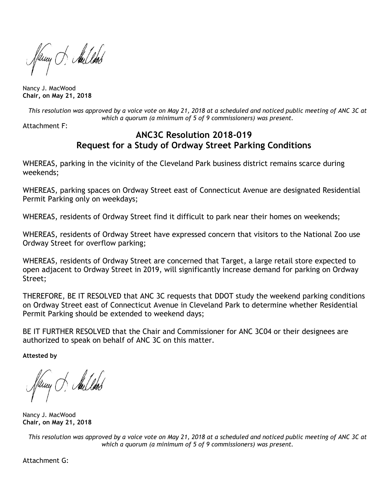fany of Aulbook

Nancy J. MacWood **Chair, on May 21, 2018**

This resolution was approved by a voice vote on May 21, 2018 at a scheduled and noticed public meeting of ANC 3C at *which a quorum (a minimum of 5 of 9 commissioners) was present.*

Attachment F:

## **ANC3C Resolution 2018-019 Request for a Study of Ordway Street Parking Conditions**

WHEREAS, parking in the vicinity of the Cleveland Park business district remains scarce during weekends;

WHEREAS, parking spaces on Ordway Street east of Connecticut Avenue are designated Residential Permit Parking only on weekdays;

WHEREAS, residents of Ordway Street find it difficult to park near their homes on weekends;

WHEREAS, residents of Ordway Street have expressed concern that visitors to the National Zoo use Ordway Street for overflow parking;

WHEREAS, residents of Ordway Street are concerned that Target, a large retail store expected to open adjacent to Ordway Street in 2019, will significantly increase demand for parking on Ordway Street;

THEREFORE, BE IT RESOLVED that ANC 3C requests that DDOT study the weekend parking conditions on Ordway Street east of Connecticut Avenue in Cleveland Park to determine whether Residential Permit Parking should be extended to weekend days;

BE IT FURTHER RESOLVED that the Chair and Commissioner for ANC 3C04 or their designees are authorized to speak on behalf of ANC 3C on this matter.

**Attested by**

Nancy J. MacWood **Chair, on May 21, 2018**

This resolution was approved by a voice vote on May 21, 2018 at a scheduled and noticed public meeting of ANC 3C at *which a quorum (a minimum of 5 of 9 commissioners) was present.*

Attachment G: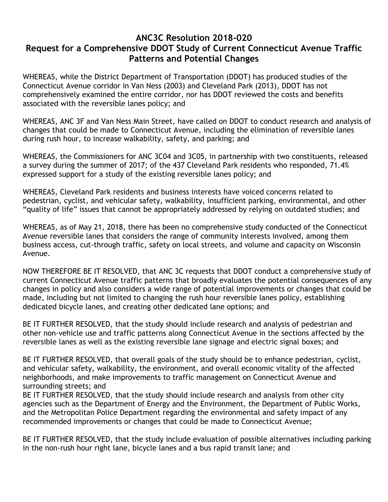## **ANC3C Resolution 2018-020 Request for a Comprehensive DDOT Study of Current Connecticut Avenue Traffic Patterns and Potential Changes**

WHEREAS, while the District Department of Transportation (DDOT) has produced studies of the Connecticut Avenue corridor in Van Ness (2003) and Cleveland Park (2013), DDOT has not comprehensively examined the entire corridor, nor has DDOT reviewed the costs and benefits associated with the reversible lanes policy; and

WHEREAS, ANC 3F and Van Ness Main Street, have called on DDOT to conduct research and analysis of changes that could be made to Connecticut Avenue, including the elimination of reversible lanes during rush hour, to increase walkability, safety, and parking; and

WHEREAS, the Commissioners for ANC 3C04 and 3C05, in partnership with two constituents, released a survey during the summer of 2017; of the 437 Cleveland Park residents who responded, 71.4% expressed support for a study of the existing reversible lanes policy; and

WHEREAS, Cleveland Park residents and business interests have voiced concerns related to pedestrian, cyclist, and vehicular safety, walkability, insufficient parking, environmental, and other "quality of life" issues that cannot be appropriately addressed by relying on outdated studies; and

WHEREAS, as of May 21, 2018, there has been no comprehensive study conducted of the Connecticut Avenue reversible lanes that considers the range of community interests involved, among them business access, cut-through traffic, safety on local streets, and volume and capacity on Wisconsin Avenue.

NOW THEREFORE BE IT RESOLVED, that ANC 3C requests that DDOT conduct a comprehensive study of current Connecticut Avenue traffic patterns that broadly evaluates the potential consequences of any changes in policy and also considers a wide range of potential improvements or changes that could be made, including but not limited to changing the rush hour reversible lanes policy, establishing dedicated bicycle lanes, and creating other dedicated lane options; and

BE IT FURTHER RESOLVED, that the study should include research and analysis of pedestrian and other non-vehicle use and traffic patterns along Connecticut Avenue in the sections affected by the reversible lanes as well as the existing reversible lane signage and electric signal boxes; and

BE IT FURTHER RESOLVED, that overall goals of the study should be to enhance pedestrian, cyclist, and vehicular safety, walkability, the environment, and overall economic vitality of the affected neighborhoods, and make improvements to traffic management on Connecticut Avenue and surrounding streets; and

BE IT FURTHER RESOLVED, that the study should include research and analysis from other city agencies such as the Department of Energy and the Environment, the Department of Public Works, and the Metropolitan Police Department regarding the environmental and safety impact of any recommended improvements or changes that could be made to Connecticut Avenue;

BE IT FURTHER RESOLVED, that the study include evaluation of possible alternatives including parking in the non-rush hour right lane, bicycle lanes and a bus rapid transit lane; and